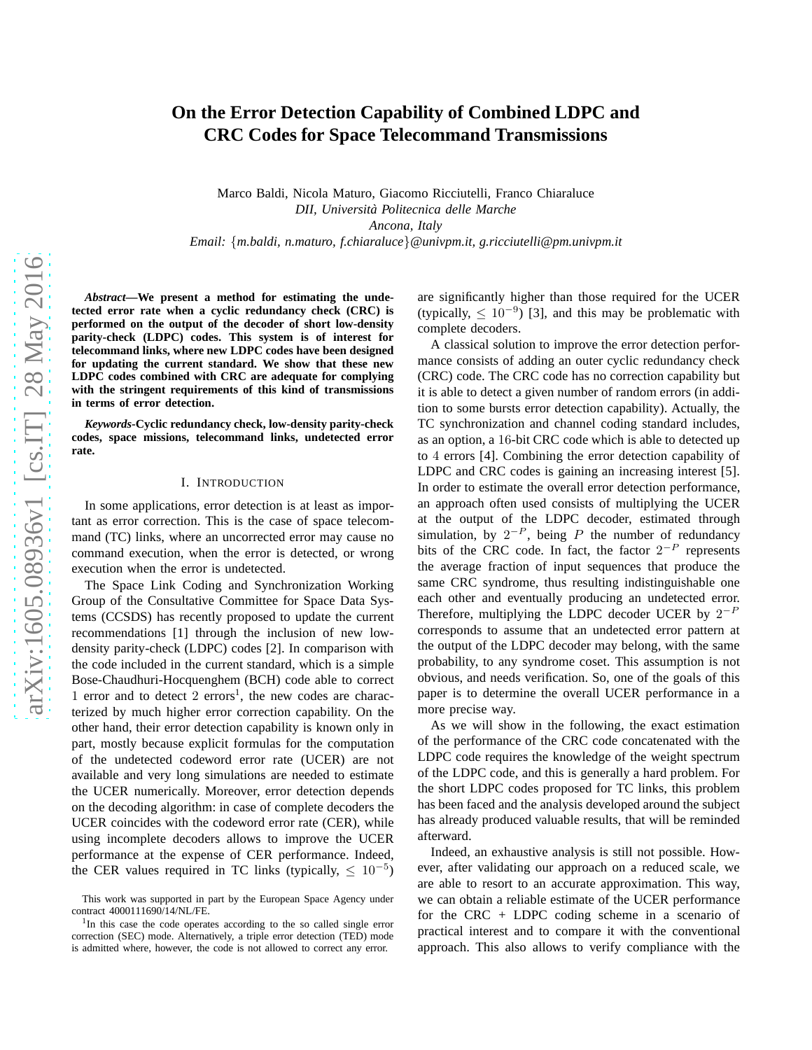# **On the Error Detection Capability of Combined LDPC and CRC Codes for Space Telecommand Transmissions**

Marco Baldi, Nicola Maturo, Giacomo Ricciutelli, Franco Chiaraluce *DII, Universita Politecnica delle Marche ` Ancona, Italy Email:* {*m.baldi, n.maturo, f.chiaraluce*}*@univpm.it, g.ricciutelli@pm.univpm.it*

*Abstract***—We present a method for estimating the undetected error rate when a cyclic redundancy check (CRC) is performed on the output of the decoder of short low-density parity-check (LDPC) codes. This system is of interest for telecommand links, where new LDPC codes have been designed for updating the current standard. We show that these new LDPC codes combined with CRC are adequate for complying with the stringent requirements of this kind of transmissions in terms of error detection.**

*Keywords***-Cyclic redundancy check, low-density parity-check codes, space missions, telecommand links, undetected error rate.**

### I. INTRODUCTION

In some applications, error detection is at least as important as error correction. This is the case of space telecommand (TC) links, where an uncorrected error may cause no command execution, when the error is detected, or wrong execution when the error is undetected.

The Space Link Coding and Synchronization Working Group of the Consultative Committee for Space Data Systems (CCSDS) has recently proposed to update the current recommendations [1] through the inclusion of new lowdensity parity-check (LDPC) codes [2]. In comparison with the code included in the current standard, which is a simple Bose-Chaudhuri-Hocquenghem (BCH) code able to correct 1 error and to detect  $2$  errors<sup>1</sup>, the new codes are characterized by much higher error correction capability. On the other hand, their error detection capability is known only in part, mostly because explicit formulas for the computation of the undetected codeword error rate (UCER) are not available and very long simulations are needed to estimate the UCER numerically. Moreover, error detection depends on the decoding algorithm: in case of complete decoders the UCER coincides with the codeword error rate (CER), while using incomplete decoders allows to improve the UCER performance at the expense of CER performance. Indeed, the CER values required in TC links (typically,  $\leq 10^{-5}$ )

are significantly higher than those required for the UCER (typically,  $\leq 10^{-9}$ ) [3], and this may be problematic with complete decoders.

A classical solution to improve the error detection performance consists of adding an outer cyclic redundancy check (CRC) code. The CRC code has no correction capability but it is able to detect a given number of random errors (in addition to some bursts error detection capability). Actually, the TC synchronization and channel coding standard includes, as an option, a 16-bit CRC code which is able to detected up to 4 errors [4]. Combining the error detection capability of LDPC and CRC codes is gaining an increasing interest [5]. In order to estimate the overall error detection performance, an approach often used consists of multiplying the UCER at the output of the LDPC decoder, estimated through simulation, by  $2^{-P}$ , being P the number of redundancy bits of the CRC code. In fact, the factor  $2^{-P}$  represents the average fraction of input sequences that produce the same CRC syndrome, thus resulting indistinguishable one each other and eventually producing an undetected error. Therefore, multiplying the LDPC decoder UCER by  $2^{-F}$ corresponds to assume that an undetected error pattern at the output of the LDPC decoder may belong, with the same probability, to any syndrome coset. This assumption is not obvious, and needs verification. So, one of the goals of this paper is to determine the overall UCER performance in a more precise way.

As we will show in the following, the exact estimation of the performance of the CRC code concatenated with the LDPC code requires the knowledge of the weight spectrum of the LDPC code, and this is generally a hard problem. For the short LDPC codes proposed for TC links, this problem has been faced and the analysis developed around the subject has already produced valuable results, that will be reminded afterward.

Indeed, an exhaustive analysis is still not possible. However, after validating our approach on a reduced scale, we are able to resort to an accurate approximation. This way, we can obtain a reliable estimate of the UCER performance for the CRC + LDPC coding scheme in a scenario of practical interest and to compare it with the conventional approach. This also allows to verify compliance with the

This work was supported in part by the European Space Agency under contract 4000111690/14/NL/FE.

<sup>&</sup>lt;sup>1</sup>In this case the code operates according to the so called single error correction (SEC) mode. Alternatively, a triple error detection (TED) mode is admitted where, however, the code is not allowed to correct any error.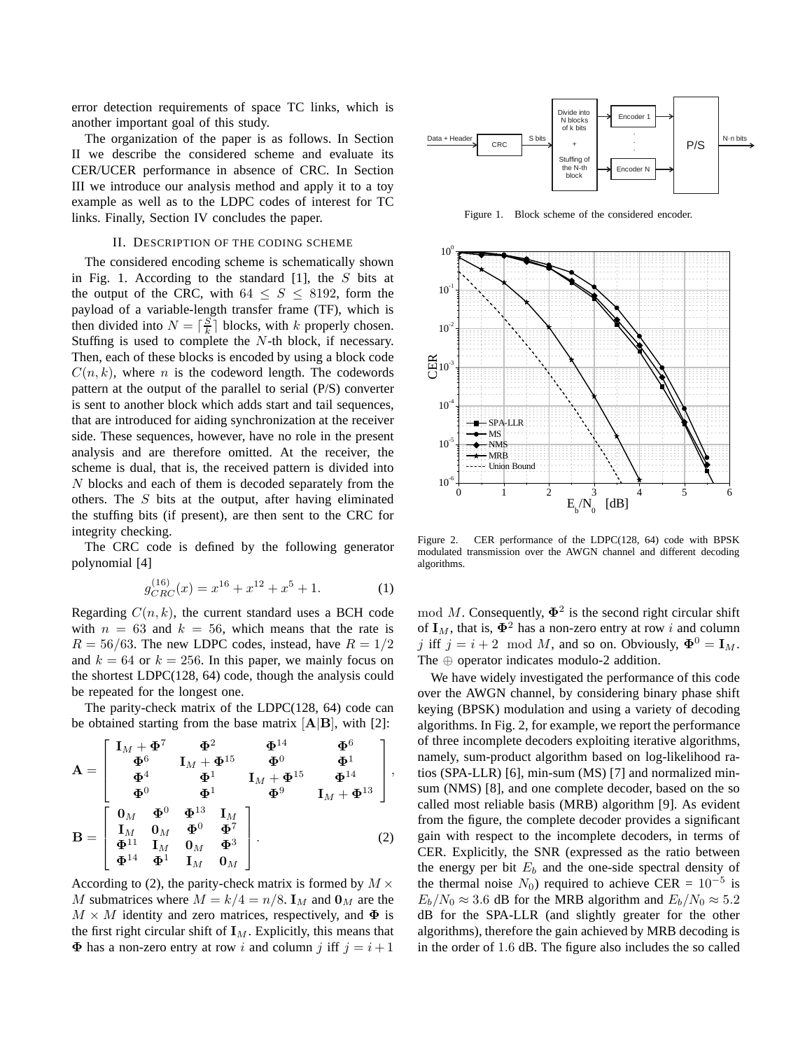error detection requirements of space TC links, which is another important goal of this study.

The organization of the paper is as follows. In Section II we describe the considered scheme and evaluate its CER/UCER performance in absence of CRC. In Section III we introduce our analysis method and apply it to a toy example as well as to the LDPC codes of interest for TC links. Finally, Section IV concludes the paper.

## II. DESCRIPTION OF THE CODING SCHEME

The considered encoding scheme is schematically shown in Fig. 1. According to the standard  $[1]$ , the S bits at the output of the CRC, with  $64 \leq S \leq 8192$ , form the payload of a variable-length transfer frame (TF), which is then divided into  $N = \lceil \frac{S}{k} \rceil$  blocks, with k properly chosen. Stuffing is used to complete the N-th block, if necessary. Then, each of these blocks is encoded by using a block code  $C(n, k)$ , where n is the codeword length. The codewords pattern at the output of the parallel to serial (P/S) converter is sent to another block which adds start and tail sequences, that are introduced for aiding synchronization at the receiver side. These sequences, however, have no role in the present analysis and are therefore omitted. At the receiver, the scheme is dual, that is, the received pattern is divided into N blocks and each of them is decoded separately from the others. The S bits at the output, after having eliminated the stuffing bits (if present), are then sent to the CRC for integrity checking.

The CRC code is defined by the following generator polynomial [4]

$$
g_{CRC}^{(16)}(x) = x^{16} + x^{12} + x^5 + 1.
$$
 (1)

Regarding  $C(n, k)$ , the current standard uses a BCH code with  $n = 63$  and  $k = 56$ , which means that the rate is  $R = 56/63$ . The new LDPC codes, instead, have  $R = 1/2$ and  $k = 64$  or  $k = 256$ . In this paper, we mainly focus on the shortest LDPC(128, 64) code, though the analysis could be repeated for the longest one.

The parity-check matrix of the LDPC(128, 64) code can be obtained starting from the base matrix  $[A|B]$ , with [2]:

$$
\mathbf{A} = \begin{bmatrix} \mathbf{I}_M + \mathbf{\Phi}^7 & \mathbf{\Phi}^2 & \mathbf{\Phi}^{14} & \mathbf{\Phi}^6 \\ \mathbf{\Phi}^6 & \mathbf{I}_M + \mathbf{\Phi}^{15} & \mathbf{\Phi}^0 & \mathbf{\Phi}^1 \\ \mathbf{\Phi}^4 & \mathbf{\Phi}^1 & \mathbf{I}_M + \mathbf{\Phi}^{15} & \mathbf{\Phi}^{14} \\ \mathbf{\Phi}^0 & \mathbf{\Phi}^1 & \mathbf{I}_M + \mathbf{\Phi}^{15} & \mathbf{\Phi}^{14} \\ \mathbf{\Phi}^0 & \mathbf{\Phi}^1 & \mathbf{I}_M & \mathbf{\Phi}^9 & \mathbf{I}_M + \mathbf{\Phi}^{13} \end{bmatrix},
$$

$$
\mathbf{B} = \begin{bmatrix} \mathbf{0}_M & \mathbf{\Phi}^0 & \mathbf{\Phi}^{13} & \mathbf{I}_M \\ \mathbf{I}_M & \mathbf{0}_M & \mathbf{\Phi}^0 & \mathbf{\Phi}^7 \\ \mathbf{\Phi}^{11} & \mathbf{I}_M & \mathbf{0}_M & \mathbf{\Phi}^3 \\ \mathbf{\Phi}^{14} & \mathbf{\Phi}^1 & \mathbf{I}_M & \mathbf{0}_M \end{bmatrix}.
$$
 (2)

According to (2), the parity-check matrix is formed by  $M \times$ M submatrices where  $M = k/4 = n/8$ .  $\mathbf{I}_M$  and  $\mathbf{0}_M$  are the  $M \times M$  identity and zero matrices, respectively, and  $\Phi$  is the first right circular shift of  $I_M$ . Explicitly, this means that  $\Phi$  has a non-zero entry at row i and column j iff  $j = i + 1$ 



Figure 1. Block scheme of the considered encoder.



Figure 2. CER performance of the LDPC(128, 64) code with BPSK modulated transmission over the AWGN channel and different decoding algorithms.

mod M. Consequently,  $\Phi^2$  is the second right circular shift of  $I_M$ , that is,  $\Phi^2$  has a non-zero entry at row i and column j iff  $j = i + 2 \mod M$ , and so on. Obviously,  $\mathbf{\Phi}^0 = \mathbf{I}_M$ . The ⊕ operator indicates modulo-2 addition.

We have widely investigated the performance of this code over the AWGN channel, by considering binary phase shift keying (BPSK) modulation and using a variety of decoding algorithms. In Fig. 2, for example, we report the performance of three incomplete decoders exploiting iterative algorithms, namely, sum-product algorithm based on log-likelihood ratios (SPA-LLR) [6], min-sum (MS) [7] and normalized minsum (NMS) [8], and one complete decoder, based on the so called most reliable basis (MRB) algorithm [9]. As evident from the figure, the complete decoder provides a significant gain with respect to the incomplete decoders, in terms of CER. Explicitly, the SNR (expressed as the ratio between the energy per bit  $E_b$  and the one-side spectral density of the thermal noise  $N_0$ ) required to achieve CER =  $10^{-5}$  is  $E_b/N_0 \approx 3.6$  dB for the MRB algorithm and  $E_b/N_0 \approx 5.2$ dB for the SPA-LLR (and slightly greater for the other algorithms), therefore the gain achieved by MRB decoding is in the order of 1.6 dB. The figure also includes the so called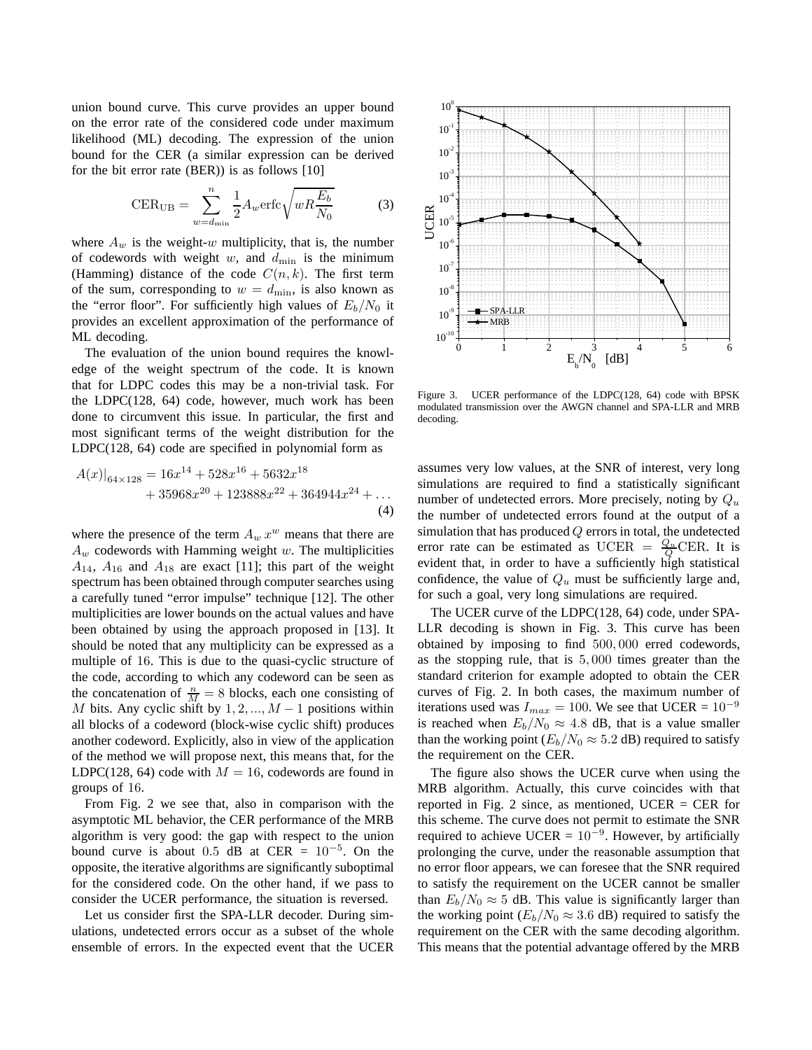union bound curve. This curve provides an upper bound on the error rate of the considered code under maximum likelihood (ML) decoding. The expression of the union bound for the CER (a similar expression can be derived for the bit error rate (BER)) is as follows [10]

$$
\text{CER}_{\text{UB}} = \sum_{w=d_{\text{min}}}^{n} \frac{1}{2} A_w \text{erfc} \sqrt{w R \frac{E_b}{N_0}}
$$
(3)

where  $A_w$  is the weight-w multiplicity, that is, the number of codewords with weight w, and  $d_{\min}$  is the minimum (Hamming) distance of the code  $C(n, k)$ . The first term of the sum, corresponding to  $w = d_{\text{min}}$ , is also known as the "error floor". For sufficiently high values of  $E_b/N_0$  it provides an excellent approximation of the performance of ML decoding.

The evaluation of the union bound requires the knowledge of the weight spectrum of the code. It is known that for LDPC codes this may be a non-trivial task. For the LDPC(128, 64) code, however, much work has been done to circumvent this issue. In particular, the first and most significant terms of the weight distribution for the LDPC(128, 64) code are specified in polynomial form as

$$
A(x)|_{64\times128} = 16x^{14} + 528x^{16} + 5632x^{18} + 35968x^{20} + 123888x^{22} + 364944x^{24} + ...
$$
\n(4)

where the presence of the term  $A_w x^w$  means that there are  $A_w$  codewords with Hamming weight  $w$ . The multiplicities  $A_{14}$ ,  $A_{16}$  and  $A_{18}$  are exact [11]; this part of the weight spectrum has been obtained through computer searches using a carefully tuned "error impulse" technique [12]. The other multiplicities are lower bounds on the actual values and have been obtained by using the approach proposed in [13]. It should be noted that any multiplicity can be expressed as a multiple of 16. This is due to the quasi-cyclic structure of the code, according to which any codeword can be seen as the concatenation of  $\frac{n}{M} = 8$  blocks, each one consisting of M bits. Any cyclic shift by  $1, 2, ..., M - 1$  positions within all blocks of a codeword (block-wise cyclic shift) produces another codeword. Explicitly, also in view of the application of the method we will propose next, this means that, for the LDPC(128, 64) code with  $M = 16$ , codewords are found in groups of 16.

From Fig. 2 we see that, also in comparison with the asymptotic ML behavior, the CER performance of the MRB algorithm is very good: the gap with respect to the union bound curve is about 0.5 dB at CER =  $10^{-5}$ . On the opposite, the iterative algorithms are significantly suboptimal for the considered code. On the other hand, if we pass to consider the UCER performance, the situation is reversed.

Let us consider first the SPA-LLR decoder. During simulations, undetected errors occur as a subset of the whole ensemble of errors. In the expected event that the UCER



Figure 3. UCER performance of the LDPC(128, 64) code with BPSK modulated transmission over the AWGN channel and SPA-LLR and MRB decoding.

assumes very low values, at the SNR of interest, very long simulations are required to find a statistically significant number of undetected errors. More precisely, noting by  $Q_u$ the number of undetected errors found at the output of a simulation that has produced  $Q$  errors in total, the undetected error rate can be estimated as UCER =  $\frac{Q_u}{Q}$ CER. It is evident that, in order to have a sufficiently high statistical confidence, the value of  $Q_u$  must be sufficiently large and, for such a goal, very long simulations are required.

The UCER curve of the LDPC(128, 64) code, under SPA-LLR decoding is shown in Fig. 3. This curve has been obtained by imposing to find 500, 000 erred codewords, as the stopping rule, that is 5, 000 times greater than the standard criterion for example adopted to obtain the CER curves of Fig. 2. In both cases, the maximum number of iterations used was  $I_{max} = 100$ . We see that UCER =  $10^{-9}$ is reached when  $E_b/N_0 \approx 4.8$  dB, that is a value smaller than the working point ( $E_b/N_0 \approx 5.2$  dB) required to satisfy the requirement on the CER.

The figure also shows the UCER curve when using the MRB algorithm. Actually, this curve coincides with that reported in Fig. 2 since, as mentioned, UCER  $=$  CER for this scheme. The curve does not permit to estimate the SNR required to achieve UCER =  $10^{-9}$ . However, by artificially prolonging the curve, under the reasonable assumption that no error floor appears, we can foresee that the SNR required to satisfy the requirement on the UCER cannot be smaller than  $E_b/N_0 \approx 5$  dB. This value is significantly larger than the working point ( $E_b/N_0 \approx 3.6$  dB) required to satisfy the requirement on the CER with the same decoding algorithm. This means that the potential advantage offered by the MRB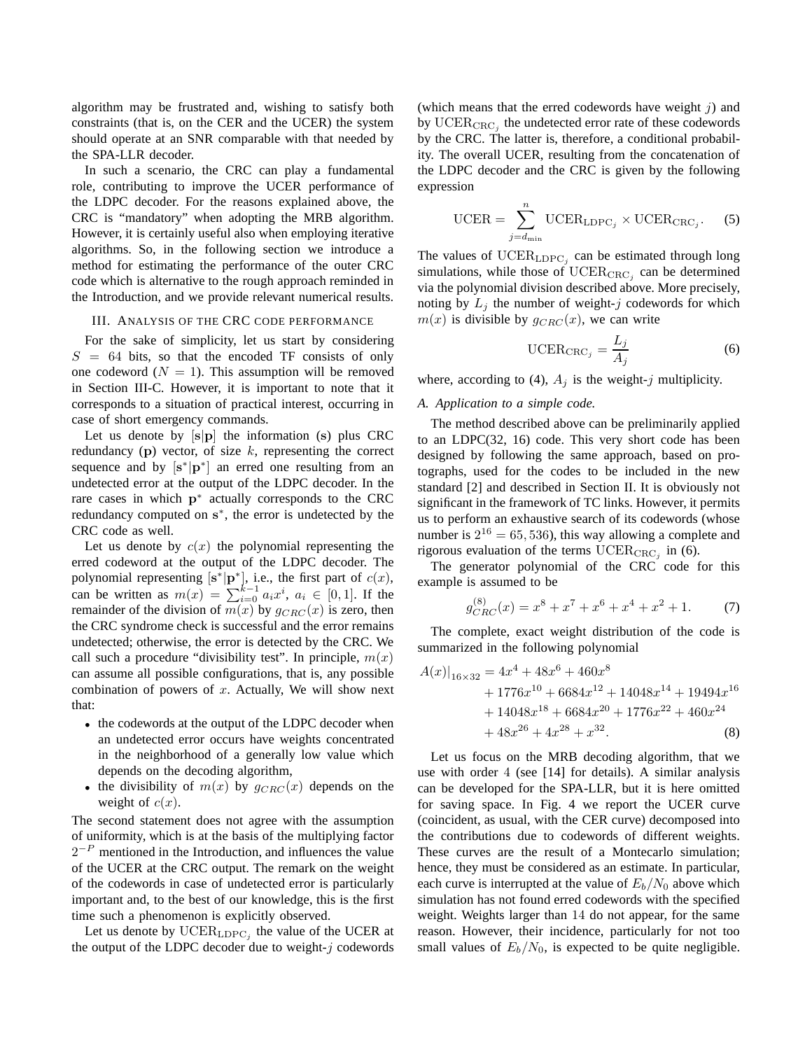algorithm may be frustrated and, wishing to satisfy both constraints (that is, on the CER and the UCER) the system should operate at an SNR comparable with that needed by the SPA-LLR decoder.

In such a scenario, the CRC can play a fundamental role, contributing to improve the UCER performance of the LDPC decoder. For the reasons explained above, the CRC is "mandatory" when adopting the MRB algorithm. However, it is certainly useful also when employing iterative algorithms. So, in the following section we introduce a method for estimating the performance of the outer CRC code which is alternative to the rough approach reminded in the Introduction, and we provide relevant numerical results.

#### III. ANALYSIS OF THE CRC CODE PERFORMANCE

For the sake of simplicity, let us start by considering  $S = 64$  bits, so that the encoded TF consists of only one codeword  $(N = 1)$ . This assumption will be removed in Section III-C. However, it is important to note that it corresponds to a situation of practical interest, occurring in case of short emergency commands.

Let us denote by  $[s|p]$  the information (s) plus CRC redundancy (p) vector, of size  $k$ , representing the correct sequence and by  $[s^*|\mathbf{p}^*]$  an erred one resulting from an undetected error at the output of the LDPC decoder. In the rare cases in which  $p^*$  actually corresponds to the CRC redundancy computed on s<sup>\*</sup>, the error is undetected by the CRC code as well.

Let us denote by  $c(x)$  the polynomial representing the erred codeword at the output of the LDPC decoder. The polynomial representing  $[s^*]p^*]$ , i.e., the first part of  $c(x)$ , can be written as  $m(x) = \sum_{i=0}^{k-1} a_i x^i$ ,  $a_i \in [0,1]$ . If the remainder of the division of  $m(x)$  by  $g_{CRC}(x)$  is zero, then the CRC syndrome check is successful and the error remains undetected; otherwise, the error is detected by the CRC. We call such a procedure "divisibility test". In principle,  $m(x)$ can assume all possible configurations, that is, any possible combination of powers of  $x$ . Actually, We will show next that:

- the codewords at the output of the LDPC decoder when an undetected error occurs have weights concentrated in the neighborhood of a generally low value which depends on the decoding algorithm,
- the divisibility of  $m(x)$  by  $g_{CRC}(x)$  depends on the weight of  $c(x)$ .

The second statement does not agree with the assumption of uniformity, which is at the basis of the multiplying factor  $2^{-P}$  mentioned in the Introduction, and influences the value of the UCER at the CRC output. The remark on the weight of the codewords in case of undetected error is particularly important and, to the best of our knowledge, this is the first time such a phenomenon is explicitly observed.

Let us denote by  $\text{UCER}_{\text{LDPC}_j}$  the value of the UCER at the output of the LDPC decoder due to weight- $j$  codewords (which means that the erred codewords have weight  $j$ ) and by  $\mathrm{UCER}_{\mathrm{CRC}_j}$  the undetected error rate of these codewords by the CRC. The latter is, therefore, a conditional probability. The overall UCER, resulting from the concatenation of the LDPC decoder and the CRC is given by the following expression

$$
\text{UCER} = \sum_{j=d_{\text{min}}}^{n} \text{UCER}_{\text{LDPC}_j} \times \text{UCER}_{\text{CRC}_j}.
$$
 (5)

The values of  $\text{UCER}_{\text{LDPC}_j}$  can be estimated through long simulations, while those of  $\mathrm{UCER}_{\mathrm{CRC}_j}$  can be determined via the polynomial division described above. More precisely, noting by  $L_j$  the number of weight-j codewords for which  $m(x)$  is divisible by  $g_{CRC}(x)$ , we can write

$$
\text{UCER}_{\text{CRC}_j} = \frac{L_j}{A_j} \tag{6}
$$

where, according to (4),  $A_i$  is the weight-j multiplicity.

# *A. Application to a simple code.*

The method described above can be preliminarily applied to an LDPC(32, 16) code. This very short code has been designed by following the same approach, based on protographs, used for the codes to be included in the new standard [2] and described in Section II. It is obviously not significant in the framework of TC links. However, it permits us to perform an exhaustive search of its codewords (whose number is  $2^{16} = 65, 536$ , this way allowing a complete and rigorous evaluation of the terms  $\mathrm{UCER}_{\mathrm{CRC}_j}$  in (6).

The generator polynomial of the CRC code for this example is assumed to be

$$
g_{CRC}^{(8)}(x) = x^8 + x^7 + x^6 + x^4 + x^2 + 1.
$$
 (7)

The complete, exact weight distribution of the code is summarized in the following polynomial

$$
A(x)|_{16\times32} = 4x^4 + 48x^6 + 460x^8
$$
  
+ 1776x<sup>10</sup> + 6684x<sup>12</sup> + 14048x<sup>14</sup> + 19494x<sup>16</sup>  
+ 14048x<sup>18</sup> + 6684x<sup>20</sup> + 1776x<sup>22</sup> + 460x<sup>24</sup>  
+ 48x<sup>26</sup> + 4x<sup>28</sup> + x<sup>32</sup>. (8)

Let us focus on the MRB decoding algorithm, that we use with order 4 (see [14] for details). A similar analysis can be developed for the SPA-LLR, but it is here omitted for saving space. In Fig. 4 we report the UCER curve (coincident, as usual, with the CER curve) decomposed into the contributions due to codewords of different weights. These curves are the result of a Montecarlo simulation; hence, they must be considered as an estimate. In particular, each curve is interrupted at the value of  $E_b/N_0$  above which simulation has not found erred codewords with the specified weight. Weights larger than 14 do not appear, for the same reason. However, their incidence, particularly for not too small values of  $E_b/N_0$ , is expected to be quite negligible.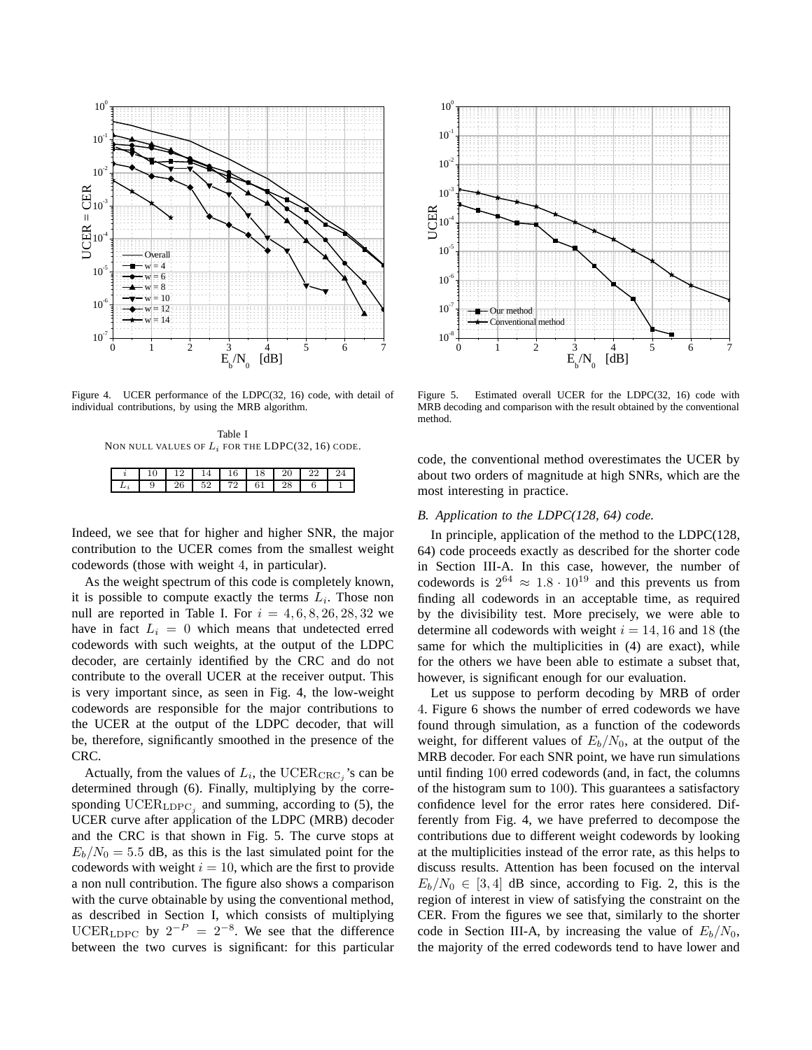

Figure 4. UCER performance of the LDPC(32, 16) code, with detail of individual contributions, by using the MRB algorithm.

Table I NON NULL VALUES OF  $L_i$  for the LDPC(32, 16) CODE.

| ◡<br>- | __ | ᅩ | w | ŦΟ | ∠∪ |  |
|--------|----|---|---|----|----|--|
|        |    |   | ≏ | ີ  | 40 |  |

Indeed, we see that for higher and higher SNR, the major contribution to the UCER comes from the smallest weight codewords (those with weight 4, in particular).

As the weight spectrum of this code is completely known, it is possible to compute exactly the terms  $L_i$ . Those non null are reported in Table I. For  $i = 4, 6, 8, 26, 28, 32$  we have in fact  $L_i = 0$  which means that undetected erred codewords with such weights, at the output of the LDPC decoder, are certainly identified by the CRC and do not contribute to the overall UCER at the receiver output. This is very important since, as seen in Fig. 4, the low-weight codewords are responsible for the major contributions to the UCER at the output of the LDPC decoder, that will be, therefore, significantly smoothed in the presence of the CRC.

Actually, from the values of  $L_i$ , the UCER $_{\text{CRC}_j}$ 's can be determined through (6). Finally, multiplying by the corresponding  $\text{UCER}_{\text{LDPC}_j}$  and summing, according to (5), the UCER curve after application of the LDPC (MRB) decoder and the CRC is that shown in Fig. 5. The curve stops at  $E_b/N_0 = 5.5$  dB, as this is the last simulated point for the codewords with weight  $i = 10$ , which are the first to provide a non null contribution. The figure also shows a comparison with the curve obtainable by using the conventional method, as described in Section I, which consists of multiplying UCER<sub>LDPC</sub> by  $2^{-P} = 2^{-8}$ . We see that the difference between the two curves is significant: for this particular



Figure 5. Estimated overall UCER for the LDPC(32, 16) code with MRB decoding and comparison with the result obtained by the conventional method.

code, the conventional method overestimates the UCER by about two orders of magnitude at high SNRs, which are the most interesting in practice.

# *B. Application to the LDPC(128, 64) code.*

In principle, application of the method to the LDPC(128, 64) code proceeds exactly as described for the shorter code in Section III-A. In this case, however, the number of codewords is  $2^{64} \approx 1.8 \cdot 10^{19}$  and this prevents us from finding all codewords in an acceptable time, as required by the divisibility test. More precisely, we were able to determine all codewords with weight  $i = 14, 16$  and 18 (the same for which the multiplicities in (4) are exact), while for the others we have been able to estimate a subset that, however, is significant enough for our evaluation.

Let us suppose to perform decoding by MRB of order 4. Figure 6 shows the number of erred codewords we have found through simulation, as a function of the codewords weight, for different values of  $E_b/N_0$ , at the output of the MRB decoder. For each SNR point, we have run simulations until finding 100 erred codewords (and, in fact, the columns of the histogram sum to 100). This guarantees a satisfactory confidence level for the error rates here considered. Differently from Fig. 4, we have preferred to decompose the contributions due to different weight codewords by looking at the multiplicities instead of the error rate, as this helps to discuss results. Attention has been focused on the interval  $E_b/N_0 \in [3, 4]$  dB since, according to Fig. 2, this is the region of interest in view of satisfying the constraint on the CER. From the figures we see that, similarly to the shorter code in Section III-A, by increasing the value of  $E_b/N_0$ , the majority of the erred codewords tend to have lower and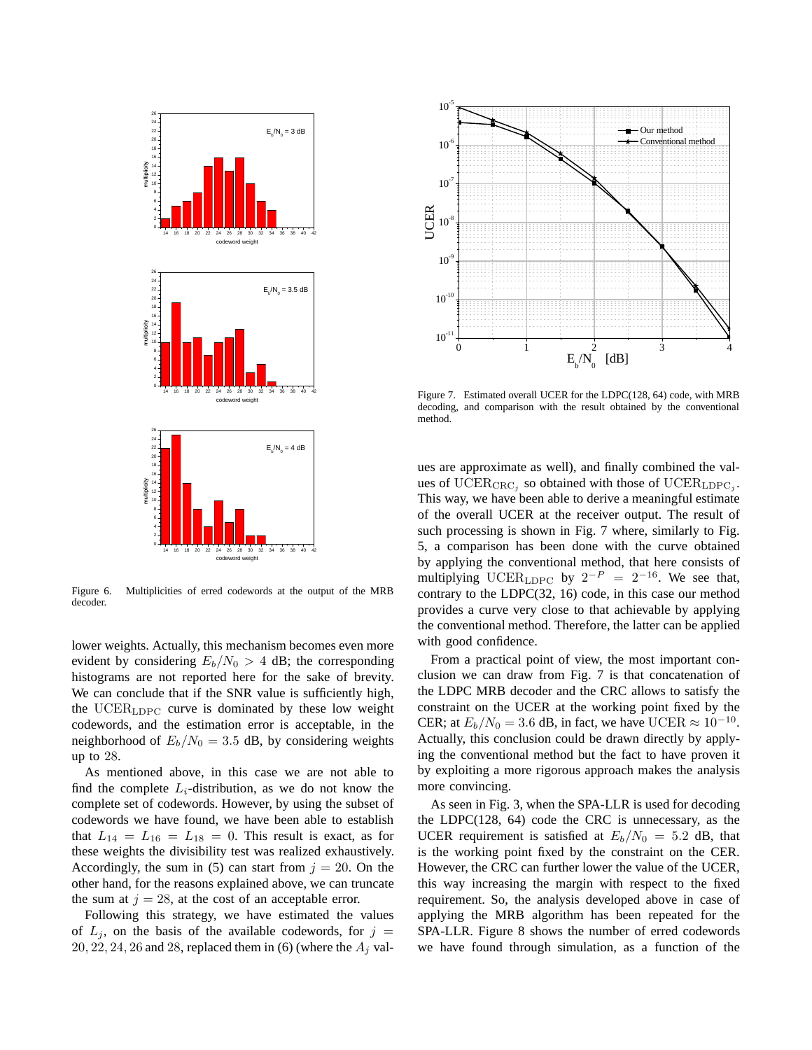

Figure 6. Multiplicities of erred codewords at the output of the MRB decoder.

lower weights. Actually, this mechanism becomes even more evident by considering  $E_b/N_0 > 4$  dB; the corresponding histograms are not reported here for the sake of brevity. We can conclude that if the SNR value is sufficiently high, the UCER<sub>LDPC</sub> curve is dominated by these low weight codewords, and the estimation error is acceptable, in the neighborhood of  $E_b/N_0 = 3.5$  dB, by considering weights up to 28.

As mentioned above, in this case we are not able to find the complete  $L_i$ -distribution, as we do not know the complete set of codewords. However, by using the subset of codewords we have found, we have been able to establish that  $L_{14} = L_{16} = L_{18} = 0$ . This result is exact, as for these weights the divisibility test was realized exhaustively. Accordingly, the sum in (5) can start from  $j = 20$ . On the other hand, for the reasons explained above, we can truncate the sum at  $j = 28$ , at the cost of an acceptable error.

Following this strategy, we have estimated the values of  $L_j$ , on the basis of the available codewords, for  $j =$  $20, 22, 24, 26$  and  $28$ , replaced them in (6) (where the  $A_j$  val-



Figure 7. Estimated overall UCER for the LDPC(128, 64) code, with MRB decoding, and comparison with the result obtained by the conventional method.

ues are approximate as well), and finally combined the values of UCER<sub>CRC</sub><sub>j</sub> so obtained with those of UCER<sub>LDPC<sub>j</sub></sub>. This way, we have been able to derive a meaningful estimate of the overall UCER at the receiver output. The result of such processing is shown in Fig. 7 where, similarly to Fig. 5, a comparison has been done with the curve obtained by applying the conventional method, that here consists of multiplying UCER<sub>LDPC</sub> by  $2^{-P} = 2^{-16}$ . We see that, contrary to the LDPC(32, 16) code, in this case our method provides a curve very close to that achievable by applying the conventional method. Therefore, the latter can be applied with good confidence.

From a practical point of view, the most important conclusion we can draw from Fig. 7 is that concatenation of the LDPC MRB decoder and the CRC allows to satisfy the constraint on the UCER at the working point fixed by the CER; at  $E_b/N_0 = 3.6$  dB, in fact, we have UCER  $\approx 10^{-10}$ . Actually, this conclusion could be drawn directly by applying the conventional method but the fact to have proven it by exploiting a more rigorous approach makes the analysis more convincing.

As seen in Fig. 3, when the SPA-LLR is used for decoding the LDPC(128, 64) code the CRC is unnecessary, as the UCER requirement is satisfied at  $E_b/N_0 = 5.2$  dB, that is the working point fixed by the constraint on the CER. However, the CRC can further lower the value of the UCER, this way increasing the margin with respect to the fixed requirement. So, the analysis developed above in case of applying the MRB algorithm has been repeated for the SPA-LLR. Figure 8 shows the number of erred codewords we have found through simulation, as a function of the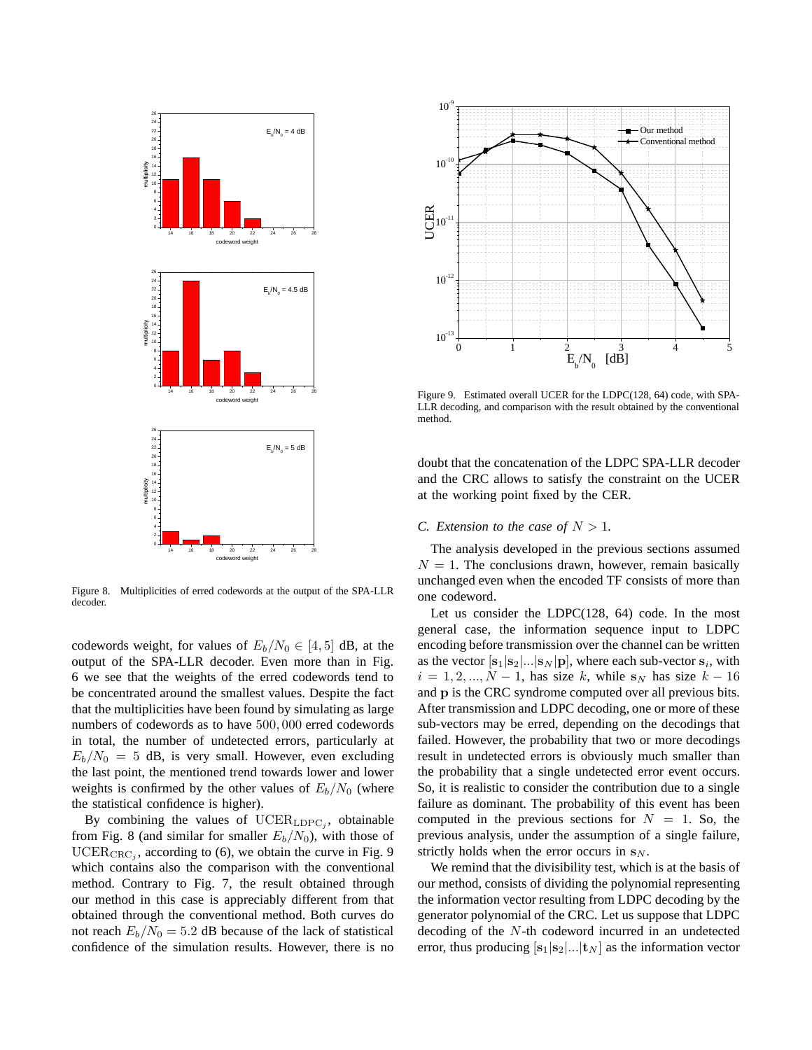

Figure 8. Multiplicities of erred codewords at the output of the SPA-LLR decoder.

codewords weight, for values of  $E_b/N_0 \in [4, 5]$  dB, at the output of the SPA-LLR decoder. Even more than in Fig. 6 we see that the weights of the erred codewords tend to be concentrated around the smallest values. Despite the fact that the multiplicities have been found by simulating as large numbers of codewords as to have 500, 000 erred codewords in total, the number of undetected errors, particularly at  $E_b/N_0 = 5$  dB, is very small. However, even excluding the last point, the mentioned trend towards lower and lower weights is confirmed by the other values of  $E_b/N_0$  (where the statistical confidence is higher).

By combining the values of  $\mathrm{UCER}_{\mathrm{LDPC}_j}$ , obtainable from Fig. 8 (and similar for smaller  $E_b/N_0$ ), with those of  $\mathrm{UCER}_{\mathrm{CRC}_j}$ , according to (6), we obtain the curve in Fig. 9 which contains also the comparison with the conventional method. Contrary to Fig. 7, the result obtained through our method in this case is appreciably different from that obtained through the conventional method. Both curves do not reach  $E_b/N_0 = 5.2$  dB because of the lack of statistical confidence of the simulation results. However, there is no



Figure 9. Estimated overall UCER for the LDPC(128, 64) code, with SPA-LLR decoding, and comparison with the result obtained by the conventional method.

doubt that the concatenation of the LDPC SPA-LLR decoder and the CRC allows to satisfy the constraint on the UCER at the working point fixed by the CER.

# *C.* Extension to the case of  $N > 1$ .

The analysis developed in the previous sections assumed  $N = 1$ . The conclusions drawn, however, remain basically unchanged even when the encoded TF consists of more than one codeword.

Let us consider the LDPC(128, 64) code. In the most general case, the information sequence input to LDPC encoding before transmission over the channel can be written as the vector  $[\mathbf{s}_1 | \mathbf{s}_2 | ... | \mathbf{s}_N | \mathbf{p}]$ , where each sub-vector  $\mathbf{s}_i$ , with  $i = 1, 2, ..., N - 1$ , has size k, while s<sub>N</sub> has size  $k - 16$ and p is the CRC syndrome computed over all previous bits. After transmission and LDPC decoding, one or more of these sub-vectors may be erred, depending on the decodings that failed. However, the probability that two or more decodings result in undetected errors is obviously much smaller than the probability that a single undetected error event occurs. So, it is realistic to consider the contribution due to a single failure as dominant. The probability of this event has been computed in the previous sections for  $N = 1$ . So, the previous analysis, under the assumption of a single failure, strictly holds when the error occurs in  $s_N$ .

We remind that the divisibility test, which is at the basis of our method, consists of dividing the polynomial representing the information vector resulting from LDPC decoding by the generator polynomial of the CRC. Let us suppose that LDPC decoding of the N-th codeword incurred in an undetected error, thus producing  $[\mathbf{s}_1|\mathbf{s}_2] \dots |\mathbf{t}_N]$  as the information vector